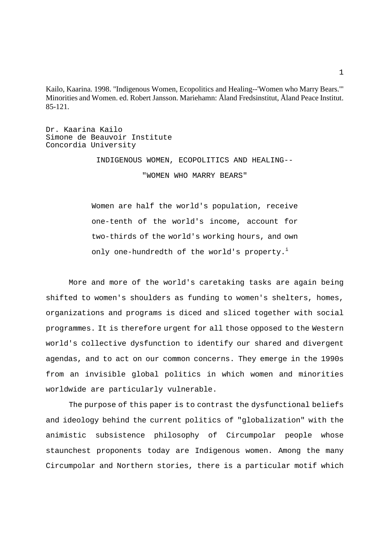Kailo, Kaarina. 1998. "Indigenous Women, Ecopolitics and Healing--'Women who Marry Bears.'" Minorities and Women. ed. Robert Jansson. Mariehamn: Åland Fredsinstitut, Åland Peace Institut. 85-121.

Dr. Kaarina Kailo Simone de Beauvoir Institute Concordia University

> INDIGENOUS WOMEN, ECOPOLITICS AND HEALING-- "WOMEN WHO MARRY BEARS"

 Women are half the world's population, receive one-tenth of the world's income, account for two-thirds of the world's working hours, and own only one-hundredth of the world's property.<sup>i</sup>

 More and more of the world's caretaking tasks are again being shifted to women's shoulders as funding to women's shelters, homes, organizations and programs is diced and sliced together with social programmes. It is therefore urgent for all those opposed to the Western world's collective dysfunction to identify our shared and divergent agendas, and to act on our common concerns. They emerge in the 1990s from an invisible global politics in which women and minorities worldwide are particularly vulnerable.

 The purpose of this paper is to contrast the dysfunctional beliefs and ideology behind the current politics of "globalization" with the animistic subsistence philosophy of Circumpolar people whose staunchest proponents today are Indigenous women. Among the many Circumpolar and Northern stories, there is a particular motif which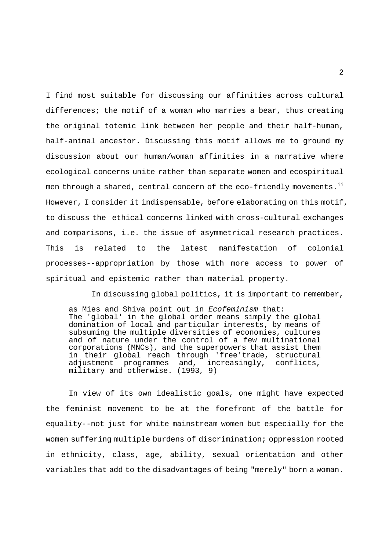I find most suitable for discussing our affinities across cultural differences; the motif of a woman who marries a bear, thus creating the original totemic link between her people and their half-human, half-animal ancestor. Discussing this motif allows me to ground my discussion about our human/woman affinities in a narrative where ecological concerns unite rather than separate women and ecospiritual men through a shared, central concern of the eco-friendly movements.<sup>ii</sup> However, I consider it indispensable, before elaborating on this motif, to discuss the ethical concerns linked with cross-cultural exchanges and comparisons, i.e. the issue of asymmetrical research practices. This is related to the latest manifestation of colonial processes--appropriation by those with more access to power of spiritual and epistemic rather than material property.

In discussing global politics, it is important to remember,

as Mies and Shiva point out in Ecofeminism that: The 'global' in the global order means simply the global domination of local and particular interests, by means of subsuming the multiple diversities of economies, cultures and of nature under the control of a few multinational corporations (MNCs), and the superpowers that assist them in their global reach through 'free'trade, structural adjustment programmes and, increasingly, conflicts, military and otherwise. (1993, 9)

 In view of its own idealistic goals, one might have expected the feminist movement to be at the forefront of the battle for equality--not just for white mainstream women but especially for the women suffering multiple burdens of discrimination; oppression rooted in ethnicity, class, age, ability, sexual orientation and other variables that add to the disadvantages of being "merely" born a woman.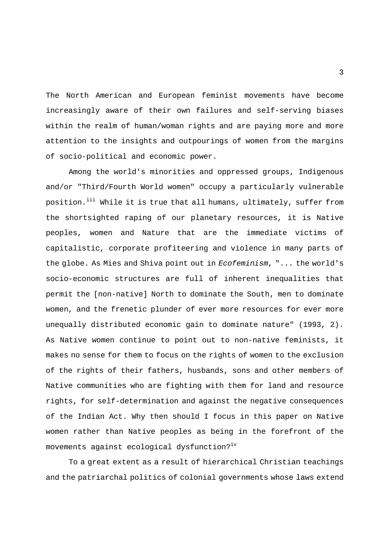The North American and European feminist movements have become increasingly aware of their own failures and self-serving biases within the realm of human/woman rights and are paying more and more attention to the insights and outpourings of women from the margins of socio-political and economic power.

 Among the world's minorities and oppressed groups, Indigenous and/or "Third/Fourth World women" occupy a particularly vulnerable position.<sup>iii</sup> While it is true that all humans, ultimately, suffer from the shortsighted raping of our planetary resources, it is Native peoples, women and Nature that are the immediate victims of capitalistic, corporate profiteering and violence in many parts of the globe. As Mies and Shiva point out in Ecofeminism, "... the world's socio-economic structures are full of inherent inequalities that permit the [non-native] North to dominate the South, men to dominate women, and the frenetic plunder of ever more resources for ever more unequally distributed economic gain to dominate nature" (1993, 2). As Native women continue to point out to non-native feminists, it makes no sense for them to focus on the rights of women to the exclusion of the rights of their fathers, husbands, sons and other members of Native communities who are fighting with them for land and resource rights, for self-determination and against the negative consequences of the Indian Act. Why then should I focus in this paper on Native women rather than Native peoples as being in the forefront of the movements against ecological dysfunction?<sup>iv</sup>

 To a great extent as a result of hierarchical Christian teachings and the patriarchal politics of colonial governments whose laws extend

3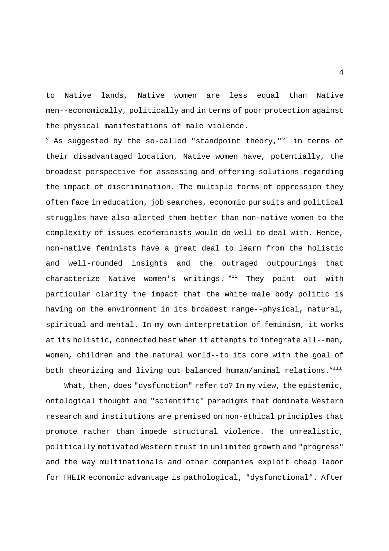to Native lands, Native women are less equal than Native men--economically, politically and in terms of poor protection against the physical manifestations of male violence.

 $V$  As suggested by the so-called "standpoint theory," $V$ in terms of their disadvantaged location, Native women have, potentially, the broadest perspective for assessing and offering solutions regarding the impact of discrimination. The multiple forms of oppression they often face in education, job searches, economic pursuits and political struggles have also alerted them better than non-native women to the complexity of issues ecofeminists would do well to deal with. Hence, non-native feminists have a great deal to learn from the holistic and well-rounded insights and the outraged outpourings that characterize Native women's writings. <sup>vii</sup> They point out with particular clarity the impact that the white male body politic is having on the environment in its broadest range--physical, natural, spiritual and mental. In my own interpretation of feminism, it works at its holistic, connected best when it attempts to integrate all--men, women, children and the natural world--to its core with the goal of both theorizing and living out balanced human/animal relations. Vill

 What, then, does "dysfunction" refer to? In my view, the epistemic, ontological thought and "scientific" paradigms that dominate Western research and institutions are premised on non-ethical principles that promote rather than impede structural violence. The unrealistic, politically motivated Western trust in unlimited growth and "progress" and the way multinationals and other companies exploit cheap labor for THEIR economic advantage is pathological, "dysfunctional". After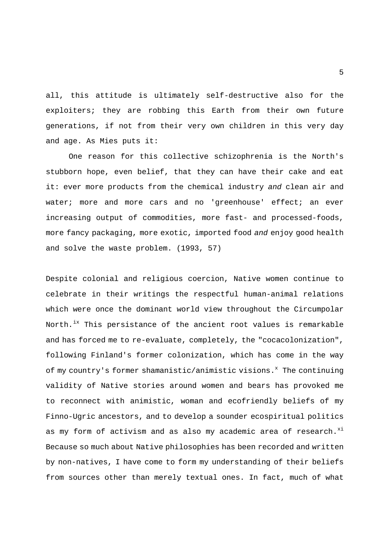all, this attitude is ultimately self-destructive also for the exploiters; they are robbing this Earth from their own future generations, if not from their very own children in this very day and age. As Mies puts it:

 One reason for this collective schizophrenia is the North's stubborn hope, even belief, that they can have their cake and eat it: ever more products from the chemical industry and clean air and water; more and more cars and no 'greenhouse' effect; an ever increasing output of commodities, more fast- and processed-foods, more fancy packaging, more exotic, imported food and enjoy good health and solve the waste problem. (1993, 57)

Despite colonial and religious coercion, Native women continue to celebrate in their writings the respectful human-animal relations which were once the dominant world view throughout the Circumpolar North.<sup>ix</sup> This persistance of the ancient root values is remarkable and has forced me to re-evaluate, completely, the "cocacolonization", following Finland's former colonization, which has come in the way of my country's former shamanistic/animistic visions.<sup>x</sup> The continuing validity of Native stories around women and bears has provoked me to reconnect with animistic, woman and ecofriendly beliefs of my Finno-Ugric ancestors, and to develop a sounder ecospiritual politics as my form of activism and as also my academic area of research.<sup>xi</sup> Because so much about Native philosophies has been recorded and written by non-natives, I have come to form my understanding of their beliefs from sources other than merely textual ones. In fact, much of what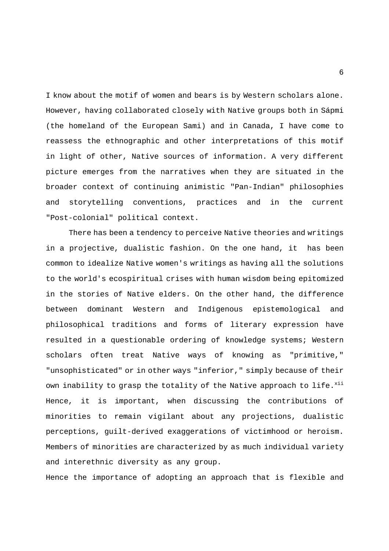I know about the motif of women and bears is by Western scholars alone. However, having collaborated closely with Native groups both in Sápmi (the homeland of the European Sami) and in Canada, I have come to reassess the ethnographic and other interpretations of this motif in light of other, Native sources of information. A very different picture emerges from the narratives when they are situated in the broader context of continuing animistic "Pan-Indian" philosophies and storytelling conventions, practices and in the current "Post-colonial" political context.

 There has been a tendency to perceive Native theories and writings in a projective, dualistic fashion. On the one hand, it has been common to idealize Native women's writings as having all the solutions to the world's ecospiritual crises with human wisdom being epitomized in the stories of Native elders. On the other hand, the difference between dominant Western and Indigenous epistemological and philosophical traditions and forms of literary expression have resulted in a questionable ordering of knowledge systems; Western scholars often treat Native ways of knowing as "primitive," "unsophisticated" or in other ways "inferior," simply because of their own inability to grasp the totality of the Native approach to life.<sup>xii</sup> Hence, it is important, when discussing the contributions of minorities to remain vigilant about any projections, dualistic perceptions, guilt-derived exaggerations of victimhood or heroism. Members of minorities are characterized by as much individual variety and interethnic diversity as any group.

Hence the importance of adopting an approach that is flexible and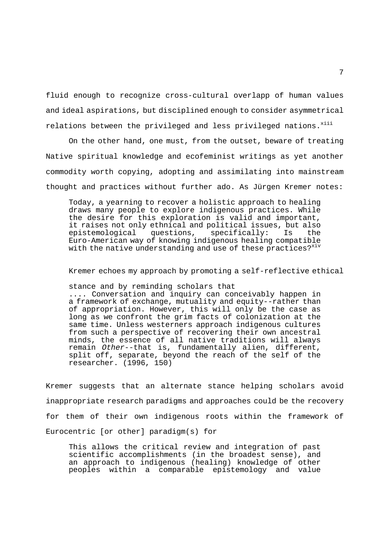fluid enough to recognize cross-cultural overlapp of human values and ideal aspirations, but disciplined enough to consider asymmetrical relations between the privileged and less privileged nations.  $x$ iii

 On the other hand, one must, from the outset, beware of treating Native spiritual knowledge and ecofeminist writings as yet another commodity worth copying, adopting and assimilating into mainstream thought and practices without further ado. As Jürgen Kremer notes:

 Today, a yearning to recover a holistic approach to healing draws many people to explore indigenous practices. While the desire for this exploration is valid and important, it raises not only ethnical and political issues, but also<br>epistemological questions, specifically: Is the epistemological questions, specifically: Is the Euro-American way of knowing indigenous healing compatible with the native understanding and use of these practices?<sup>xiv</sup>

Kremer echoes my approach by promoting a self-reflective ethical

stance and by reminding scholars that

 .... Conversation and inquiry can conceivably happen in a framework of exchange, mutuality and equity--rather than of appropriation. However, this will only be the case as long as we confront the grim facts of colonization at the same time. Unless westerners approach indigenous cultures from such a perspective of recovering their own ancestral minds, the essence of all native traditions will always remain Other--that is, fundamentally alien, different, split off, separate, beyond the reach of the self of the researcher. (1996, 150)

Kremer suggests that an alternate stance helping scholars avoid inappropriate research paradigms and approaches could be the recovery for them of their own indigenous roots within the framework of Eurocentric [or other] paradigm(s) for

 This allows the critical review and integration of past scientific accomplishments (in the broadest sense), and an approach to indigenous (healing) knowledge of other peoples within a comparable epistemology and value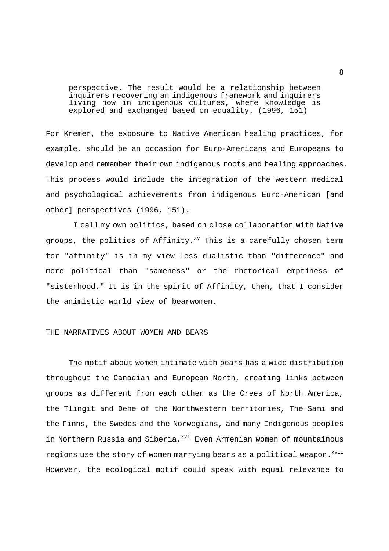perspective. The result would be a relationship between inquirers recovering an indigenous framework and inquirers living now in indigenous cultures, where knowledge is explored and exchanged based on equality. (1996, 151)

For Kremer, the exposure to Native American healing practices, for example, should be an occasion for Euro-Americans and Europeans to develop and remember their own indigenous roots and healing approaches. This process would include the integration of the western medical and psychological achievements from indigenous Euro-American [and other] perspectives (1996, 151).

 I call my own politics, based on close collaboration with Native groups, the politics of Affinity.<sup>xv</sup> This is a carefully chosen term for "affinity" is in my view less dualistic than "difference" and more political than "sameness" or the rhetorical emptiness of "sisterhood." It is in the spirit of Affinity, then, that I consider the animistic world view of bearwomen.

## THE NARRATIVES ABOUT WOMEN AND BEARS

 The motif about women intimate with bears has a wide distribution throughout the Canadian and European North, creating links between groups as different from each other as the Crees of North America, the Tlingit and Dene of the Northwestern territories, The Sami and the Finns, the Swedes and the Norwegians, and many Indigenous peoples in Northern Russia and Siberia.<sup>xvi</sup> Even Armenian women of mountainous regions use the story of women marrying bears as a political weapon.<sup>xvii</sup> However, the ecological motif could speak with equal relevance to

8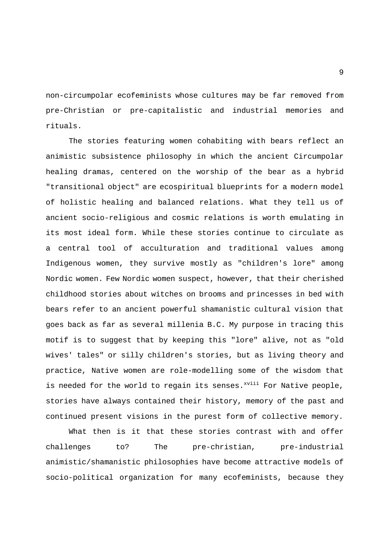non-circumpolar ecofeminists whose cultures may be far removed from pre-Christian or pre-capitalistic and industrial memories and rituals.

 The stories featuring women cohabiting with bears reflect an animistic subsistence philosophy in which the ancient Circumpolar healing dramas, centered on the worship of the bear as a hybrid "transitional object" are ecospiritual blueprints for a modern model of holistic healing and balanced relations. What they tell us of ancient socio-religious and cosmic relations is worth emulating in its most ideal form. While these stories continue to circulate as a central tool of acculturation and traditional values among Indigenous women, they survive mostly as "children's lore" among Nordic women. Few Nordic women suspect, however, that their cherished childhood stories about witches on brooms and princesses in bed with bears refer to an ancient powerful shamanistic cultural vision that goes back as far as several millenia B.C. My purpose in tracing this motif is to suggest that by keeping this "lore" alive, not as "old wives' tales" or silly children's stories, but as living theory and practice, Native women are role-modelling some of the wisdom that is needed for the world to regain its senses.<sup>xviii</sup> For Native people, stories have always contained their history, memory of the past and continued present visions in the purest form of collective memory.

 What then is it that these stories contrast with and offer challenges to? The pre-christian, pre-industrial animistic/shamanistic philosophies have become attractive models of socio-political organization for many ecofeminists, because they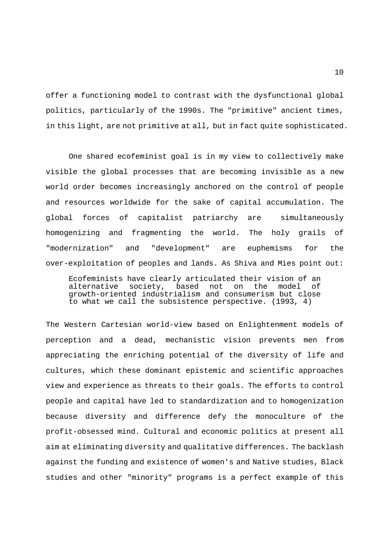offer a functioning model to contrast with the dysfunctional global politics, particularly of the 1990s. The "primitive" ancient times, in this light, are not primitive at all, but in fact quite sophisticated.

 One shared ecofeminist goal is in my view to collectively make visible the global processes that are becoming invisible as a new world order becomes increasingly anchored on the control of people and resources worldwide for the sake of capital accumulation. The global forces of capitalist patriarchy are simultaneously homogenizing and fragmenting the world. The holy grails of "modernization" and "development" are euphemisms for the over-exploitation of peoples and lands. As Shiva and Mies point out:

 Ecofeminists have clearly articulated their vision of an alternative society, based not on the model of growth-oriented industrialism and consumerism but close to what we call the subsistence perspective. (1993, 4)

The Western Cartesian world-view based on Enlightenment models of perception and a dead, mechanistic vision prevents men from appreciating the enriching potential of the diversity of life and cultures, which these dominant epistemic and scientific approaches view and experience as threats to their goals. The efforts to control people and capital have led to standardization and to homogenization because diversity and difference defy the monoculture of the profit-obsessed mind. Cultural and economic politics at present all aim at eliminating diversity and qualitative differences. The backlash against the funding and existence of women's and Native studies, Black studies and other "minority" programs is a perfect example of this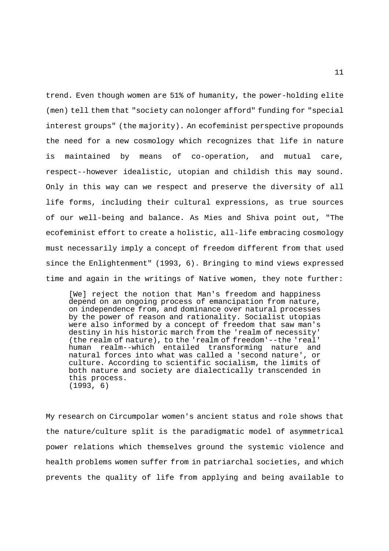trend. Even though women are 51% of humanity, the power-holding elite (men) tell them that "society can nolonger afford" funding for "special interest groups" (the majority). An ecofeminist perspective propounds the need for a new cosmology which recognizes that life in nature is maintained by means of co-operation, and mutual care, respect--however idealistic, utopian and childish this may sound. Only in this way can we respect and preserve the diversity of all life forms, including their cultural expressions, as true sources of our well-being and balance. As Mies and Shiva point out, "The ecofeminist effort to create a holistic, all-life embracing cosmology must necessarily imply a concept of freedom different from that used since the Enlightenment" (1993, 6). Bringing to mind views expressed time and again in the writings of Native women, they note further:

 [We] reject the notion that Man's freedom and happiness depend on an ongoing process of emancipation from nature, on independence from, and dominance over natural processes by the power of reason and rationality. Socialist utopias were also informed by a concept of freedom that saw man's destiny in his historic march from the 'realm of necessity' (the realm of nature), to the 'realm of freedom'--the 'real' human realm--which entailed transforming nature and natural forces into what was called a 'second nature', or culture. According to scientific socialism, the limits of both nature and society are dialectically transcended in this process. (1993, 6)

My research on Circumpolar women's ancient status and role shows that the nature/culture split is the paradigmatic model of asymmetrical power relations which themselves ground the systemic violence and health problems women suffer from in patriarchal societies, and which prevents the quality of life from applying and being available to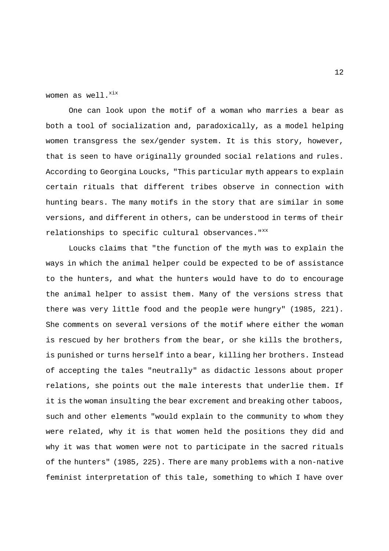women as well. $^{xix}$ 

 One can look upon the motif of a woman who marries a bear as both a tool of socialization and, paradoxically, as a model helping women transgress the sex/gender system. It is this story, however, that is seen to have originally grounded social relations and rules. According to Georgina Loucks, "This particular myth appears to explain certain rituals that different tribes observe in connection with hunting bears. The many motifs in the story that are similar in some versions, and different in others, can be understood in terms of their relationships to specific cultural observances. "XX

 Loucks claims that "the function of the myth was to explain the ways in which the animal helper could be expected to be of assistance to the hunters, and what the hunters would have to do to encourage the animal helper to assist them. Many of the versions stress that there was very little food and the people were hungry" (1985, 221). She comments on several versions of the motif where either the woman is rescued by her brothers from the bear, or she kills the brothers, is punished or turns herself into a bear, killing her brothers. Instead of accepting the tales "neutrally" as didactic lessons about proper relations, she points out the male interests that underlie them. If it is the woman insulting the bear excrement and breaking other taboos, such and other elements "would explain to the community to whom they were related, why it is that women held the positions they did and why it was that women were not to participate in the sacred rituals of the hunters" (1985, 225). There are many problems with a non-native feminist interpretation of this tale, something to which I have over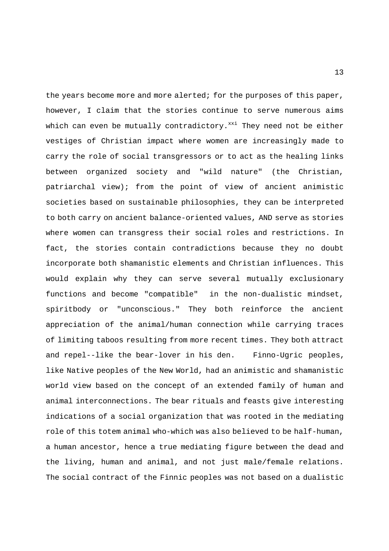the years become more and more alerted; for the purposes of this paper, however, I claim that the stories continue to serve numerous aims which can even be mutually contradictory. $^{xxi}$  They need not be either vestiges of Christian impact where women are increasingly made to carry the role of social transgressors or to act as the healing links between organized society and "wild nature" (the Christian, patriarchal view); from the point of view of ancient animistic societies based on sustainable philosophies, they can be interpreted to both carry on ancient balance-oriented values, AND serve as stories where women can transgress their social roles and restrictions. In fact, the stories contain contradictions because they no doubt incorporate both shamanistic elements and Christian influences. This would explain why they can serve several mutually exclusionary functions and become "compatible" in the non-dualistic mindset, spiritbody or "unconscious." They both reinforce the ancient appreciation of the animal/human connection while carrying traces of limiting taboos resulting from more recent times. They both attract and repel--like the bear-lover in his den. Finno-Ugric peoples, like Native peoples of the New World, had an animistic and shamanistic world view based on the concept of an extended family of human and animal interconnections. The bear rituals and feasts give interesting indications of a social organization that was rooted in the mediating role of this totem animal who-which was also believed to be half-human, a human ancestor, hence a true mediating figure between the dead and the living, human and animal, and not just male/female relations. The social contract of the Finnic peoples was not based on a dualistic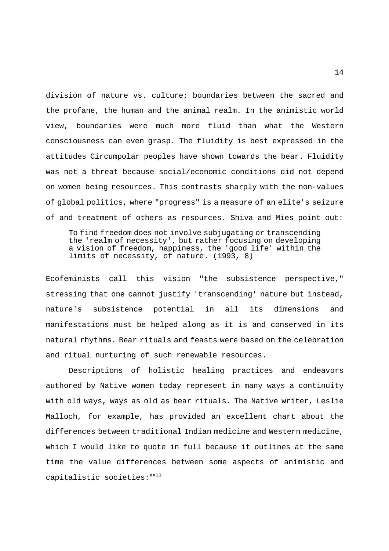division of nature vs. culture; boundaries between the sacred and the profane, the human and the animal realm. In the animistic world view, boundaries were much more fluid than what the Western consciousness can even grasp. The fluidity is best expressed in the attitudes Circumpolar peoples have shown towards the bear. Fluidity was not a threat because social/economic conditions did not depend on women being resources. This contrasts sharply with the non-values of global politics, where "progress" is a measure of an elite's seizure of and treatment of others as resources. Shiva and Mies point out:

 To find freedom does not involve subjugating or transcending the 'realm of necessity', but rather focusing on developing a vision of freedom, happiness, the 'good life' within the limits of necessity, of nature. (1993, 8)

Ecofeminists call this vision "the subsistence perspective," stressing that one cannot justify 'transcending' nature but instead, nature's subsistence potential in all its dimensions and manifestations must be helped along as it is and conserved in its natural rhythms. Bear rituals and feasts were based on the celebration and ritual nurturing of such renewable resources.

 Descriptions of holistic healing practices and endeavors authored by Native women today represent in many ways a continuity with old ways, ways as old as bear rituals. The Native writer, Leslie Malloch, for example, has provided an excellent chart about the differences between traditional Indian medicine and Western medicine, which I would like to quote in full because it outlines at the same time the value differences between some aspects of animistic and capitalistic societies: xxii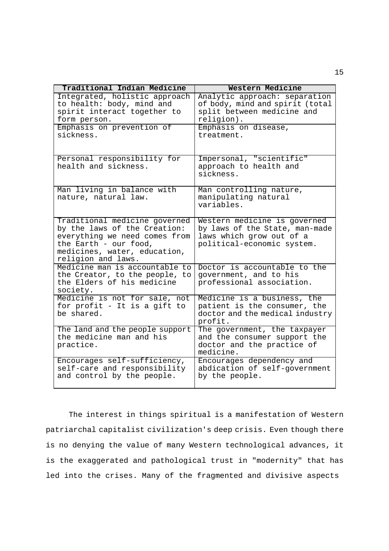| Traditional Indian Medicine                                                                                                                                                   | Western Medicine                                                                                                         |
|-------------------------------------------------------------------------------------------------------------------------------------------------------------------------------|--------------------------------------------------------------------------------------------------------------------------|
| Integrated, holistic approach<br>to health: body, mind and<br>spirit interact together to<br>form person.                                                                     | Analytic approach: separation<br>of body, mind and spirit (total<br>split between medicine and<br>religion).             |
| Emphasis on prevention of<br>sickness.                                                                                                                                        | Emphasis on disease,<br>treatment.                                                                                       |
| Personal responsibility for<br>health and sickness.                                                                                                                           | Impersonal, "scientific"<br>approach to health and<br>sickness.                                                          |
| Man living in balance with<br>nature, natural law.                                                                                                                            | Man controlling nature,<br>manipulating natural<br>variables.                                                            |
| Traditional medicine governed<br>by the laws of the Creation:<br>everything we need comes from<br>the Earth - our food,<br>medicines, water, education,<br>religion and laws. | Western medicine is governed<br>by laws of the State, man-made<br>laws which grow out of a<br>political-economic system. |
| Medicine man is accountable to<br>the Creator, to the people, to<br>the Elders of his medicine<br>society.                                                                    | Doctor is accountable to the<br>government, and to his<br>professional association.                                      |
| Medicine is not for sale, not<br>for profit - It is a gift to<br>be shared.                                                                                                   | Medicine is a business, the<br>patient is the consumer, the<br>doctor and the medical industry<br>profit.                |
| The land and the people support<br>the medicine man and his<br>practice.                                                                                                      | The government, the taxpayer<br>and the consumer support the<br>doctor and the practice of<br>medicine.                  |
| Encourages self-sufficiency,<br>self-care and responsibility<br>and control by the people.                                                                                    | Encourages dependency and<br>abdication of self-government<br>by the people.                                             |

 The interest in things spiritual is a manifestation of Western patriarchal capitalist civilization's deep crisis. Even though there is no denying the value of many Western technological advances, it is the exaggerated and pathological trust in "modernity" that has led into the crises. Many of the fragmented and divisive aspects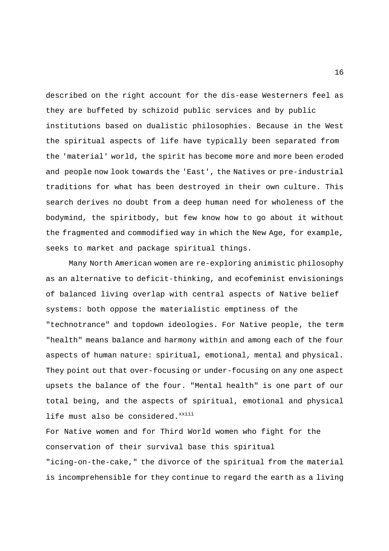described on the right account for the dis-ease Westerners feel as they are buffeted by schizoid public services and by public institutions based on dualistic philosophies. Because in the West the spiritual aspects of life have typically been separated from the 'material' world, the spirit has become more and more been eroded and people now look towards the 'East', the Natives or pre-industrial traditions for what has been destroyed in their own culture. This search derives no doubt from a deep human need for wholeness of the bodymind, the spiritbody, but few know how to go about it without the fragmented and commodified way in which the New Age, for example, seeks to market and package spiritual things.

 Many North American women are re-exploring animistic philosophy as an alternative to deficit-thinking, and ecofeminist envisionings of balanced living overlap with central aspects of Native belief systems: both oppose the materialistic emptiness of the "technotrance" and topdown ideologies. For Native people, the term "health" means balance and harmony within and among each of the four aspects of human nature: spiritual, emotional, mental and physical. They point out that over-focusing or under-focusing on any one aspect upsets the balance of the four. "Mental health" is one part of our total being, and the aspects of spiritual, emotional and physical life must also be considered. xxiii

For Native women and for Third World women who fight for the conservation of their survival base this spiritual "icing-on-the-cake," the divorce of the spiritual from the material is incomprehensible for they continue to regard the earth as a living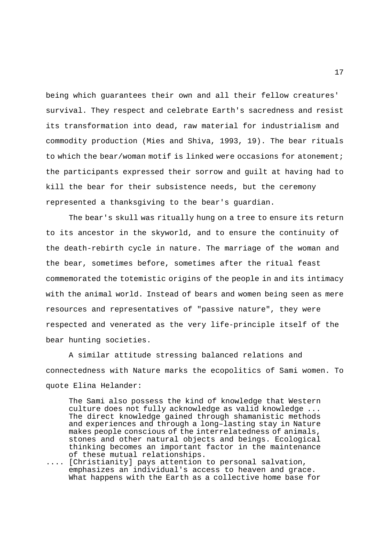being which guarantees their own and all their fellow creatures' survival. They respect and celebrate Earth's sacredness and resist its transformation into dead, raw material for industrialism and commodity production (Mies and Shiva, 1993, 19). The bear rituals to which the bear/woman motif is linked were occasions for atonement; the participants expressed their sorrow and guilt at having had to kill the bear for their subsistence needs, but the ceremony represented a thanksgiving to the bear's guardian.

 The bear's skull was ritually hung on a tree to ensure its return to its ancestor in the skyworld, and to ensure the continuity of the death-rebirth cycle in nature. The marriage of the woman and the bear, sometimes before, sometimes after the ritual feast commemorated the totemistic origins of the people in and its intimacy with the animal world. Instead of bears and women being seen as mere resources and representatives of "passive nature", they were respected and venerated as the very life-principle itself of the bear hunting societies.

 A similar attitude stressing balanced relations and connectedness with Nature marks the ecopolitics of Sami women. To quote Elina Helander:

 The Sami also possess the kind of knowledge that Western culture does not fully acknowledge as valid knowledge ... The direct knowledge gained through shamanistic methods and experiences and through a long–lasting stay in Nature makes people conscious of the interrelatedness of animals, stones and other natural objects and beings. Ecological thinking becomes an important factor in the maintenance of these mutual relationships.

.... [Christianity] pays attention to personal salvation, emphasizes an individual's access to heaven and grace. What happens with the Earth as a collective home base for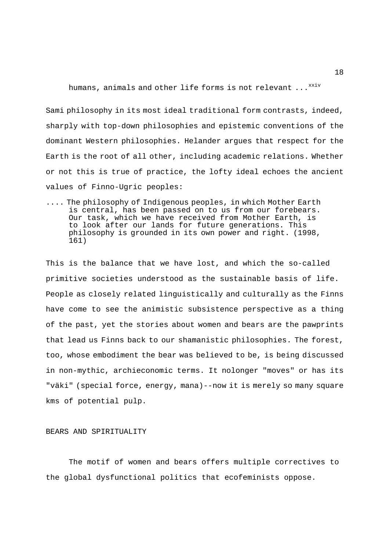humans, animals and other life forms is not relevant  $\dots^{xxiv}$ 

Sami philosophy in its most ideal traditional form contrasts, indeed, sharply with top-down philosophies and epistemic conventions of the dominant Western philosophies. Helander argues that respect for the Earth is the root of all other, including academic relations. Whether or not this is true of practice, the lofty ideal echoes the ancient values of Finno-Ugric peoples:

.... The philosophy of Indigenous peoples, in which Mother Earth is central, has been passed on to us from our forebears. Our task, which we have received from Mother Earth, is to look after our lands for future generations. This philosophy is grounded in its own power and right. (1998, 161)

This is the balance that we have lost, and which the so-called primitive societies understood as the sustainable basis of life. People as closely related linguistically and culturally as the Finns have come to see the animistic subsistence perspective as a thing of the past, yet the stories about women and bears are the pawprints that lead us Finns back to our shamanistic philosophies. The forest, too, whose embodiment the bear was believed to be, is being discussed in non-mythic, archieconomic terms. It nolonger "moves" or has its "väki" (special force, energy, mana)--now it is merely so many square kms of potential pulp.

## BEARS AND SPIRITUALITY

 The motif of women and bears offers multiple correctives to the global dysfunctional politics that ecofeminists oppose.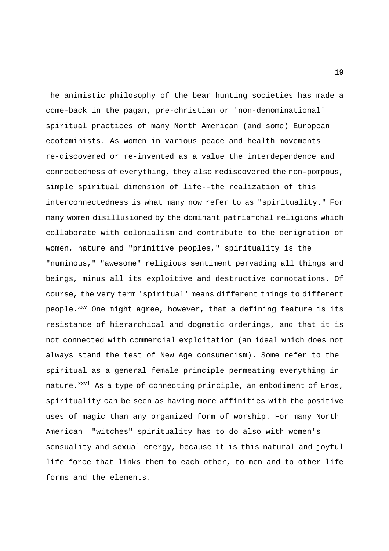The animistic philosophy of the bear hunting societies has made a come-back in the pagan, pre-christian or 'non-denominational' spiritual practices of many North American (and some) European ecofeminists. As women in various peace and health movements re-discovered or re-invented as a value the interdependence and connectedness of everything, they also rediscovered the non-pompous, simple spiritual dimension of life--the realization of this interconnectedness is what many now refer to as "spirituality." For many women disillusioned by the dominant patriarchal religions which collaborate with colonialism and contribute to the denigration of women, nature and "primitive peoples," spirituality is the "numinous," "awesome" religious sentiment pervading all things and beings, minus all its exploitive and destructive connotations. Of course, the very term 'spiritual' means different things to different people.<sup>xxv</sup> One might agree, however, that a defining feature is its resistance of hierarchical and dogmatic orderings, and that it is not connected with commercial exploitation (an ideal which does not always stand the test of New Age consumerism). Some refer to the spiritual as a general female principle permeating everything in nature.<sup>xxvi</sup> As a type of connecting principle, an embodiment of Eros, spirituality can be seen as having more affinities with the positive uses of magic than any organized form of worship. For many North American "witches" spirituality has to do also with women's sensuality and sexual energy, because it is this natural and joyful life force that links them to each other, to men and to other life forms and the elements.

19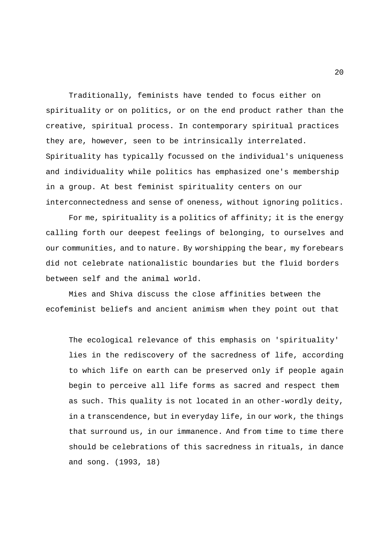Traditionally, feminists have tended to focus either on spirituality or on politics, or on the end product rather than the creative, spiritual process. In contemporary spiritual practices they are, however, seen to be intrinsically interrelated. Spirituality has typically focussed on the individual's uniqueness and individuality while politics has emphasized one's membership in a group. At best feminist spirituality centers on our interconnectedness and sense of oneness, without ignoring politics.

 For me, spirituality is a politics of affinity; it is the energy calling forth our deepest feelings of belonging, to ourselves and our communities, and to nature. By worshipping the bear, my forebears did not celebrate nationalistic boundaries but the fluid borders between self and the animal world.

 Mies and Shiva discuss the close affinities between the ecofeminist beliefs and ancient animism when they point out that

The ecological relevance of this emphasis on 'spirituality' lies in the rediscovery of the sacredness of life, according to which life on earth can be preserved only if people again begin to perceive all life forms as sacred and respect them as such. This quality is not located in an other-wordly deity, in a transcendence, but in everyday life, in our work, the things that surround us, in our immanence. And from time to time there should be celebrations of this sacredness in rituals, in dance and song. (1993, 18)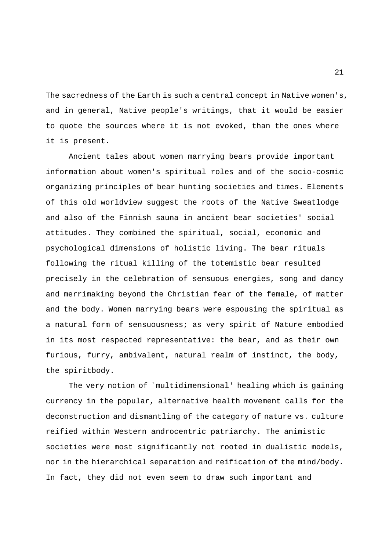The sacredness of the Earth is such a central concept in Native women's, and in general, Native people's writings, that it would be easier to quote the sources where it is not evoked, than the ones where it is present.

 Ancient tales about women marrying bears provide important information about women's spiritual roles and of the socio-cosmic organizing principles of bear hunting societies and times. Elements of this old worldview suggest the roots of the Native Sweatlodge and also of the Finnish sauna in ancient bear societies' social attitudes. They combined the spiritual, social, economic and psychological dimensions of holistic living. The bear rituals following the ritual killing of the totemistic bear resulted precisely in the celebration of sensuous energies, song and dancy and merrimaking beyond the Christian fear of the female, of matter and the body. Women marrying bears were espousing the spiritual as a natural form of sensuousness; as very spirit of Nature embodied in its most respected representative: the bear, and as their own furious, furry, ambivalent, natural realm of instinct, the body, the spiritbody.

 The very notion of `multidimensional' healing which is gaining currency in the popular, alternative health movement calls for the deconstruction and dismantling of the category of nature vs. culture reified within Western androcentric patriarchy. The animistic societies were most significantly not rooted in dualistic models, nor in the hierarchical separation and reification of the mind/body. In fact, they did not even seem to draw such important and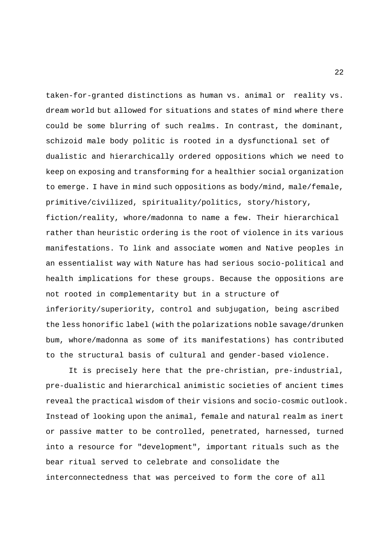taken-for-granted distinctions as human vs. animal or reality vs. dream world but allowed for situations and states of mind where there could be some blurring of such realms. In contrast, the dominant, schizoid male body politic is rooted in a dysfunctional set of dualistic and hierarchically ordered oppositions which we need to keep on exposing and transforming for a healthier social organization to emerge. I have in mind such oppositions as body/mind, male/female, primitive/civilized, spirituality/politics, story/history, fiction/reality, whore/madonna to name a few. Their hierarchical rather than heuristic ordering is the root of violence in its various manifestations. To link and associate women and Native peoples in an essentialist way with Nature has had serious socio-political and health implications for these groups. Because the oppositions are not rooted in complementarity but in a structure of inferiority/superiority, control and subjugation, being ascribed the less honorific label (with the polarizations noble savage/drunken bum, whore/madonna as some of its manifestations) has contributed to the structural basis of cultural and gender-based violence.

 It is precisely here that the pre-christian, pre-industrial, pre-dualistic and hierarchical animistic societies of ancient times reveal the practical wisdom of their visions and socio-cosmic outlook. Instead of looking upon the animal, female and natural realm as inert or passive matter to be controlled, penetrated, harnessed, turned into a resource for "development", important rituals such as the bear ritual served to celebrate and consolidate the interconnectedness that was perceived to form the core of all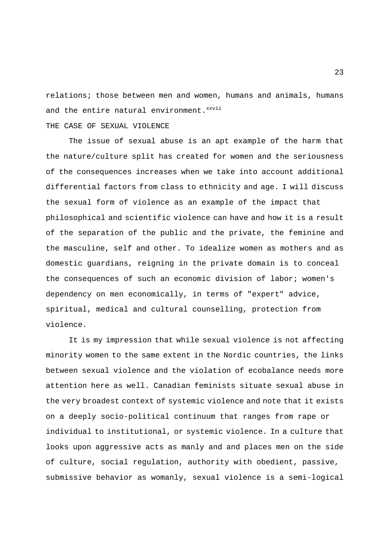relations; those between men and women, humans and animals, humans and the entire natural environment.<sup>xxvii</sup>

## THE CASE OF SEXUAL VIOLENCE

 The issue of sexual abuse is an apt example of the harm that the nature/culture split has created for women and the seriousness of the consequences increases when we take into account additional differential factors from class to ethnicity and age. I will discuss the sexual form of violence as an example of the impact that philosophical and scientific violence can have and how it is a result of the separation of the public and the private, the feminine and the masculine, self and other. To idealize women as mothers and as domestic guardians, reigning in the private domain is to conceal the consequences of such an economic division of labor; women's dependency on men economically, in terms of "expert" advice, spiritual, medical and cultural counselling, protection from violence.

 It is my impression that while sexual violence is not affecting minority women to the same extent in the Nordic countries, the links between sexual violence and the violation of ecobalance needs more attention here as well. Canadian feminists situate sexual abuse in the very broadest context of systemic violence and note that it exists on a deeply socio-political continuum that ranges from rape or individual to institutional, or systemic violence. In a culture that looks upon aggressive acts as manly and and places men on the side of culture, social regulation, authority with obedient, passive, submissive behavior as womanly, sexual violence is a semi-logical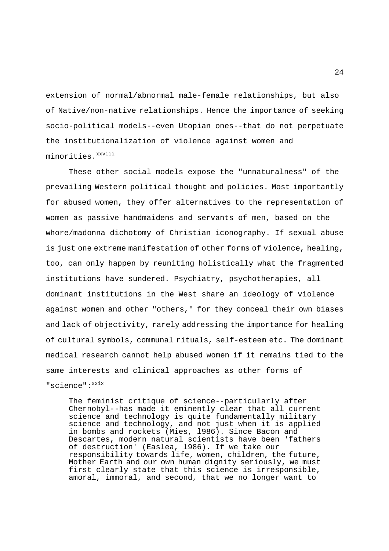extension of normal/abnormal male-female relationships, but also of Native/non-native relationships. Hence the importance of seeking socio-political models--even Utopian ones--that do not perpetuate the institutionalization of violence against women and minorities.<sup>xxviii</sup>

 These other social models expose the "unnaturalness" of the prevailing Western political thought and policies. Most importantly for abused women, they offer alternatives to the representation of women as passive handmaidens and servants of men, based on the whore/madonna dichotomy of Christian iconography. If sexual abuse is just one extreme manifestation of other forms of violence, healing, too, can only happen by reuniting holistically what the fragmented institutions have sundered. Psychiatry, psychotherapies, all dominant institutions in the West share an ideology of violence against women and other "others," for they conceal their own biases and lack of objectivity, rarely addressing the importance for healing of cultural symbols, communal rituals, self-esteem etc. The dominant medical research cannot help abused women if it remains tied to the same interests and clinical approaches as other forms of "science": xxix

 The feminist critique of science--particularly after Chernobyl--has made it eminently clear that all current science and technology is quite fundamentally military science and technology, and not just when it is applied in bombs and rockets (Mies, l986). Since Bacon and Descartes, modern natural scientists have been 'fathers of destruction' (Easlea, l986). If we take our responsibility towards life, women, children, the future, Mother Earth and our own human dignity seriously, we must first clearly state that this science is irresponsible, amoral, immoral, and second, that we no longer want to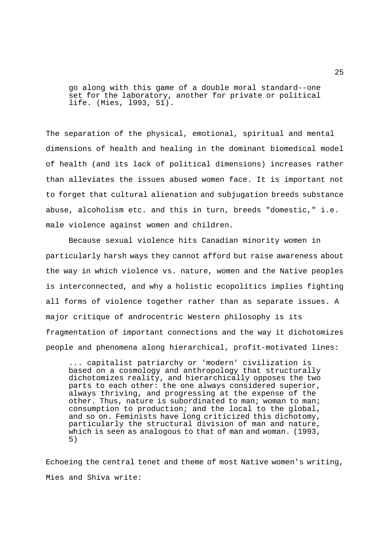go along with this game of a double moral standard--one set for the laboratory, another for private or political life. (Mies, l993, 51).

The separation of the physical, emotional, spiritual and mental dimensions of health and healing in the dominant biomedical model of health (and its lack of political dimensions) increases rather than alleviates the issues abused women face. It is important not to forget that cultural alienation and subjugation breeds substance abuse, alcoholism etc. and this in turn, breeds "domestic," i.e. male violence against women and children.

 Because sexual violence hits Canadian minority women in particularly harsh ways they cannot afford but raise awareness about the way in which violence vs. nature, women and the Native peoples is interconnected, and why a holistic ecopolitics implies fighting all forms of violence together rather than as separate issues. A major critique of androcentric Western philosophy is its fragmentation of important connections and the way it dichotomizes people and phenomena along hierarchical, profit-motivated lines:

 ... capitalist patriarchy or 'modern' civilization is based on a cosmology and anthropology that structurally dichotomizes reality, and hierarchically opposes the two parts to each other: the one always considered superior, always thriving, and progressing at the expense of the other. Thus, nature is subordinated to man; woman to man; consumption to production; and the local to the global, and so on. Feminists have long criticized this dichotomy, particularly the structural division of man and nature, which is seen as analogous to that of man and woman. (1993, 5)

Echoeing the central tenet and theme of most Native women's writing, Mies and Shiva write: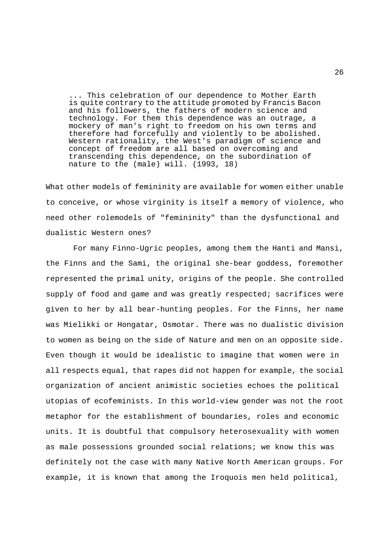... This celebration of our dependence to Mother Earth is quite contrary to the attitude promoted by Francis Bacon and his followers, the fathers of modern science and technology. For them this dependence was an outrage, a mockery of man's right to freedom on his own terms and therefore had forcefully and violently to be abolished. Western rationality, the West's paradigm of science and concept of freedom are all based on overcoming and transcending this dependence, on the subordination of nature to the (male) will. (1993, 18)

What other models of femininity are available for women either unable to conceive, or whose virginity is itself a memory of violence, who need other rolemodels of "femininity" than the dysfunctional and dualistic Western ones?

 For many Finno-Ugric peoples, among them the Hanti and Mansi, the Finns and the Sami, the original she-bear goddess, foremother represented the primal unity, origins of the people. She controlled supply of food and game and was greatly respected; sacrifices were given to her by all bear-hunting peoples. For the Finns, her name was Mielikki or Hongatar, Osmotar. There was no dualistic division to women as being on the side of Nature and men on an opposite side. Even though it would be idealistic to imagine that women were in all respects equal, that rapes did not happen for example, the social organization of ancient animistic societies echoes the political utopias of ecofeminists. In this world-view gender was not the root metaphor for the establishment of boundaries, roles and economic units. It is doubtful that compulsory heterosexuality with women as male possessions grounded social relations; we know this was definitely not the case with many Native North American groups. For example, it is known that among the Iroquois men held political,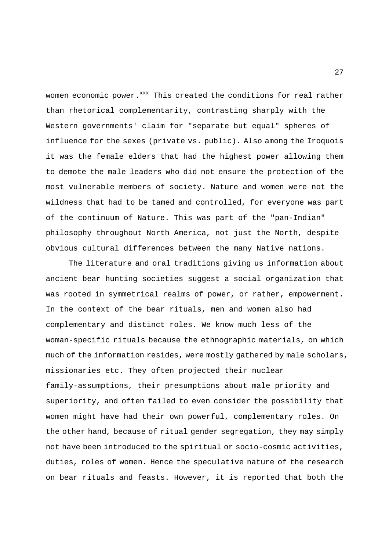women economic power.<sup>xxx</sup> This created the conditions for real rather than rhetorical complementarity, contrasting sharply with the Western governments' claim for "separate but equal" spheres of influence for the sexes (private vs. public). Also among the Iroquois it was the female elders that had the highest power allowing them to demote the male leaders who did not ensure the protection of the most vulnerable members of society. Nature and women were not the wildness that had to be tamed and controlled, for everyone was part of the continuum of Nature. This was part of the "pan-Indian" philosophy throughout North America, not just the North, despite obvious cultural differences between the many Native nations.

 The literature and oral traditions giving us information about ancient bear hunting societies suggest a social organization that was rooted in symmetrical realms of power, or rather, empowerment. In the context of the bear rituals, men and women also had complementary and distinct roles. We know much less of the woman-specific rituals because the ethnographic materials, on which much of the information resides, were mostly gathered by male scholars, missionaries etc. They often projected their nuclear family-assumptions, their presumptions about male priority and superiority, and often failed to even consider the possibility that women might have had their own powerful, complementary roles. On the other hand, because of ritual gender segregation, they may simply not have been introduced to the spiritual or socio-cosmic activities, duties, roles of women. Hence the speculative nature of the research on bear rituals and feasts. However, it is reported that both the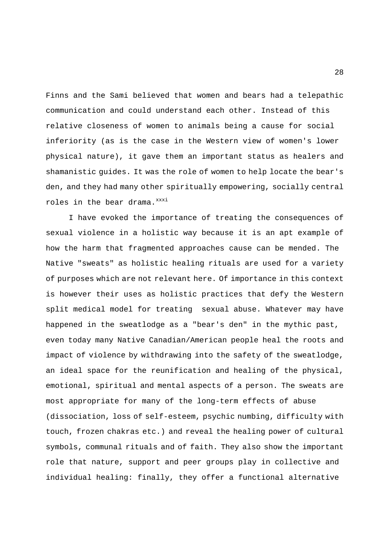Finns and the Sami believed that women and bears had a telepathic communication and could understand each other. Instead of this relative closeness of women to animals being a cause for social inferiority (as is the case in the Western view of women's lower physical nature), it gave them an important status as healers and shamanistic guides. It was the role of women to help locate the bear's den, and they had many other spiritually empowering, socially central roles in the bear drama.  $xxxxxxi}$ 

 I have evoked the importance of treating the consequences of sexual violence in a holistic way because it is an apt example of how the harm that fragmented approaches cause can be mended. The Native "sweats" as holistic healing rituals are used for a variety of purposes which are not relevant here. Of importance in this context is however their uses as holistic practices that defy the Western split medical model for treating sexual abuse. Whatever may have happened in the sweatlodge as a "bear's den" in the mythic past, even today many Native Canadian/American people heal the roots and impact of violence by withdrawing into the safety of the sweatlodge, an ideal space for the reunification and healing of the physical, emotional, spiritual and mental aspects of a person. The sweats are most appropriate for many of the long-term effects of abuse (dissociation, loss of self-esteem, psychic numbing, difficulty with touch, frozen chakras etc.) and reveal the healing power of cultural symbols, communal rituals and of faith. They also show the important role that nature, support and peer groups play in collective and individual healing: finally, they offer a functional alternative

28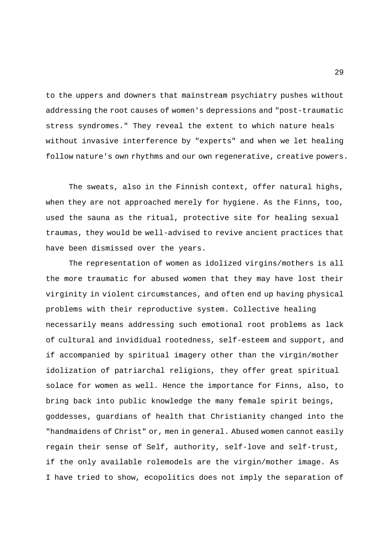to the uppers and downers that mainstream psychiatry pushes without addressing the root causes of women's depressions and "post-traumatic stress syndromes." They reveal the extent to which nature heals without invasive interference by "experts" and when we let healing follow nature's own rhythms and our own regenerative, creative powers.

 The sweats, also in the Finnish context, offer natural highs, when they are not approached merely for hygiene. As the Finns, too, used the sauna as the ritual, protective site for healing sexual traumas, they would be well-advised to revive ancient practices that have been dismissed over the years.

 The representation of women as idolized virgins/mothers is all the more traumatic for abused women that they may have lost their virginity in violent circumstances, and often end up having physical problems with their reproductive system. Collective healing necessarily means addressing such emotional root problems as lack of cultural and invididual rootedness, self-esteem and support, and if accompanied by spiritual imagery other than the virgin/mother idolization of patriarchal religions, they offer great spiritual solace for women as well. Hence the importance for Finns, also, to bring back into public knowledge the many female spirit beings, goddesses, guardians of health that Christianity changed into the "handmaidens of Christ" or, men in general. Abused women cannot easily regain their sense of Self, authority, self-love and self-trust, if the only available rolemodels are the virgin/mother image. As I have tried to show, ecopolitics does not imply the separation of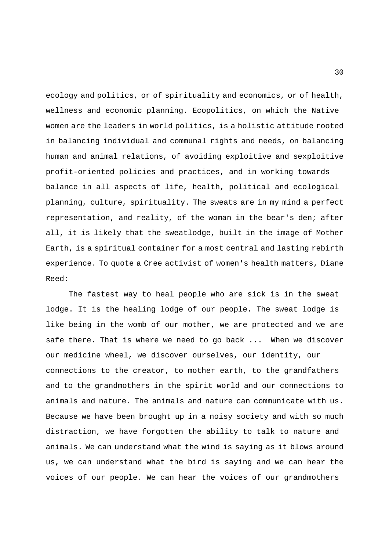ecology and politics, or of spirituality and economics, or of health, wellness and economic planning. Ecopolitics, on which the Native women are the leaders in world politics, is a holistic attitude rooted in balancing individual and communal rights and needs, on balancing human and animal relations, of avoiding exploitive and sexploitive profit-oriented policies and practices, and in working towards balance in all aspects of life, health, political and ecological planning, culture, spirituality. The sweats are in my mind a perfect representation, and reality, of the woman in the bear's den; after all, it is likely that the sweatlodge, built in the image of Mother Earth, is a spiritual container for a most central and lasting rebirth experience. To quote a Cree activist of women's health matters, Diane Reed:

 The fastest way to heal people who are sick is in the sweat lodge. It is the healing lodge of our people. The sweat lodge is like being in the womb of our mother, we are protected and we are safe there. That is where we need to go back ... When we discover our medicine wheel, we discover ourselves, our identity, our connections to the creator, to mother earth, to the grandfathers and to the grandmothers in the spirit world and our connections to animals and nature. The animals and nature can communicate with us. Because we have been brought up in a noisy society and with so much distraction, we have forgotten the ability to talk to nature and animals. We can understand what the wind is saying as it blows around us, we can understand what the bird is saying and we can hear the voices of our people. We can hear the voices of our grandmothers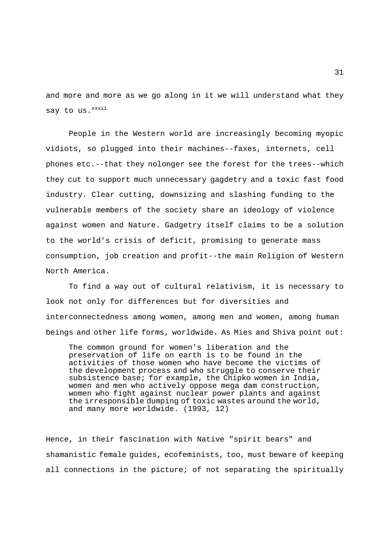and more and more as we go along in it we will understand what they say to us.<sup>xxxii</sup>

 People in the Western world are increasingly becoming myopic vidiots, so plugged into their machines--faxes, internets, cell phones etc.--that they nolonger see the forest for the trees--which they cut to support much unnecessary gagdetry and a toxic fast food industry. Clear cutting, downsizing and slashing funding to the vulnerable members of the society share an ideology of violence against women and Nature. Gadgetry itself claims to be a solution to the world's crisis of deficit, promising to generate mass consumption, job creation and profit--the main Religion of Western North America.

 To find a way out of cultural relativism, it is necessary to look not only for differences but for diversities and interconnectedness among women, among men and women, among human beings and other life forms, worldwide. As Mies and Shiva point out:

 The common ground for women's liberation and the preservation of life on earth is to be found in the activities of those women who have become the victims of the development process and who struggle to conserve their subsistence base; for example, the Chipko women in India, women and men who actively oppose mega dam construction, women who fight against nuclear power plants and against the irresponsible dumping of toxic wastes around the world, and many more worldwide. (1993, 12)

Hence, in their fascination with Native "spirit bears" and shamanistic female guides, ecofeminists, too, must beware of keeping all connections in the picture; of not separating the spiritually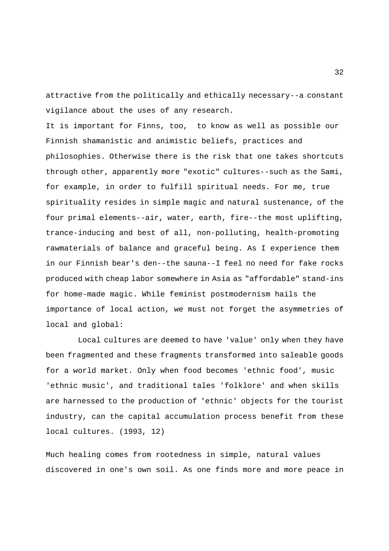attractive from the politically and ethically necessary--a constant vigilance about the uses of any research.

It is important for Finns, too, to know as well as possible our Finnish shamanistic and animistic beliefs, practices and philosophies. Otherwise there is the risk that one takes shortcuts through other, apparently more "exotic" cultures--such as the Sami, for example, in order to fulfill spiritual needs. For me, true spirituality resides in simple magic and natural sustenance, of the four primal elements--air, water, earth, fire--the most uplifting, trance-inducing and best of all, non-polluting, health-promoting rawmaterials of balance and graceful being. As I experience them in our Finnish bear's den--the sauna--I feel no need for fake rocks produced with cheap labor somewhere in Asia as "affordable" stand-ins for home-made magic. While feminist postmodernism hails the importance of local action, we must not forget the asymmetries of local and global:

 Local cultures are deemed to have 'value' only when they have been fragmented and these fragments transformed into saleable goods for a world market. Only when food becomes 'ethnic food', music 'ethnic music', and traditional tales 'folklore' and when skills are harnessed to the production of 'ethnic' objects for the tourist industry, can the capital accumulation process benefit from these local cultures. (1993, 12)

Much healing comes from rootedness in simple, natural values discovered in one's own soil. As one finds more and more peace in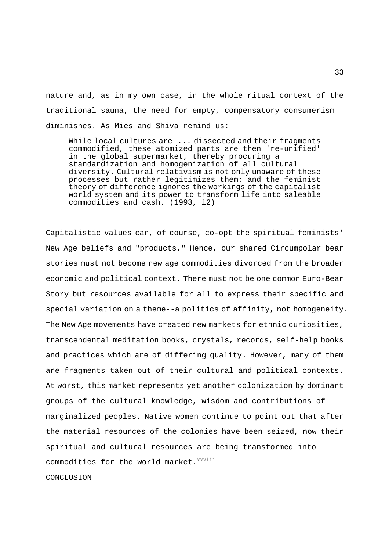nature and, as in my own case, in the whole ritual context of the traditional sauna, the need for empty, compensatory consumerism diminishes. As Mies and Shiva remind us:

 While local cultures are ... dissected and their fragments commodified, these atomized parts are then 're-unified' in the global supermarket, thereby procuring a standardization and homogenization of all cultural diversity. Cultural relativism is not only unaware of these processes but rather legitimizes them; and the feminist theory of difference ignores the workings of the capitalist world system and its power to transform life into saleable commodities and cash. (1993, l2)

Capitalistic values can, of course, co-opt the spiritual feminists' New Age beliefs and "products." Hence, our shared Circumpolar bear stories must not become new age commodities divorced from the broader economic and political context. There must not be one common Euro-Bear Story but resources available for all to express their specific and special variation on a theme--a politics of affinity, not homogeneity. The New Age movements have created new markets for ethnic curiosities, transcendental meditation books, crystals, records, self-help books and practices which are of differing quality. However, many of them are fragments taken out of their cultural and political contexts. At worst, this market represents yet another colonization by dominant groups of the cultural knowledge, wisdom and contributions of marginalized peoples. Native women continue to point out that after the material resources of the colonies have been seized, now their spiritual and cultural resources are being transformed into commodities for the world market. xxxiii CONCLUSION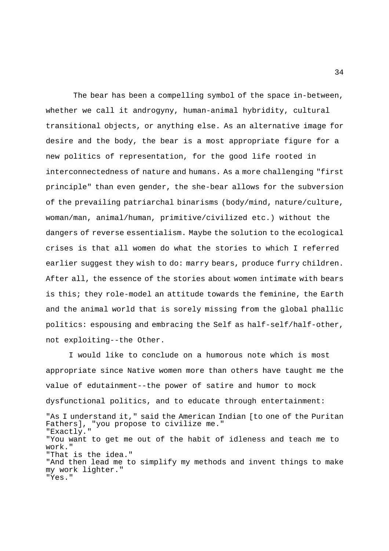The bear has been a compelling symbol of the space in-between, whether we call it androgyny, human-animal hybridity, cultural transitional objects, or anything else. As an alternative image for desire and the body, the bear is a most appropriate figure for a new politics of representation, for the good life rooted in interconnectedness of nature and humans. As a more challenging "first principle" than even gender, the she-bear allows for the subversion of the prevailing patriarchal binarisms (body/mind, nature/culture, woman/man, animal/human, primitive/civilized etc.) without the dangers of reverse essentialism. Maybe the solution to the ecological crises is that all women do what the stories to which I referred earlier suggest they wish to do: marry bears, produce furry children. After all, the essence of the stories about women intimate with bears is this; they role-model an attitude towards the feminine, the Earth and the animal world that is sorely missing from the global phallic politics: espousing and embracing the Self as half-self/half-other, not exploiting--the Other.

 I would like to conclude on a humorous note which is most appropriate since Native women more than others have taught me the value of edutainment--the power of satire and humor to mock dysfunctional politics, and to educate through entertainment: "As I understand it," said the American Indian [to one of the Puritan Fathers], "you propose to civilize me." "Exactly." "You want to get me out of the habit of idleness and teach me to work." "That is the idea." "And then lead me to simplify my methods and invent things to make my work lighter." "Yes."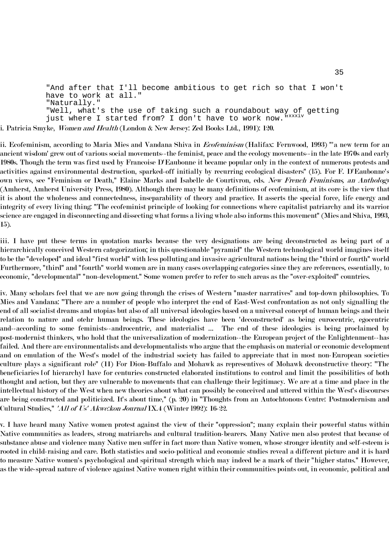"And after that I'll become ambitious to get rich so that I won't have to work at all." "Naturally." "Well, what's the use of taking such a roundabout way of getting just where I started from? I don't have to work now. "xxxiv i. Patricia Smyke, *Women and Health* (London & New Jersey: Zed Books Ltd., 1991): 120.

ii. Ecofeminism, according to Maria Mies and Vandana Shiva in *Ecofeminism* (Halifax: Fernwood, 1993) "'a new term for an ancient wisdom' grew out of various social movements--the feminist, peace and the ecology movements--in the late 1970s and early 1980s. Though the term was first used by Francoise D'Eaubonne it became popular only in the context of numerous protests and activities against environmental destruction, sparked-off initially by recurring ecological disasters" (l5). For F. D'Eaubonne's own views, see "Feminism or Death," Elaine Marks and Isabelle de Courtivron, eds. New French Feminisms, an Anthology (Amherst, Amherst University Press, 1980). Although there may be many definitions of ecofeminism, at its core is the view that it is about the wholeness and connectedness, inseparability of theory and practice. It asserts the special force, life energy and integrity of every living thing: "The ecofeminist principle of looking for connections where capitalist patriarchy and its warrior science are engaged in disconnecting and dissecting what forms a living whole also informs this movement" (Mies and Shiva, 1993, 15).

iii. I have put these terms in quotation marks because the very designations are being deconstructed as being part of a hierarchically conceived Western categorization; in this questionable "pyramid" the Western technological world imagines itself to be the "developed" and ideal "first world" with less polluting and invasive agricultural nations being the "third or fourth" world. Furthermore, "third" and "fourth" world women are in many cases overlapping categories since they are references, essentially, to economic, "developmental" "non-development." Some women prefer to refer to such areas as the "over-exploited" countries.

iv. Many scholars feel that we are now going through the crises of Western "master narratives" and top-down philosophies. To Mies and Vandana: "There are a number of people who interpret the end of East-West confrontation as not only signalling the end of all socialist dreams and utopias but also of all universal ideologies based on a universal concept of human beings and their relation to nature and otehr human beings. These ideologies have been 'deconstructed' as being eurocentric, egocentric and--according to some feminists--androcentric, and materialist ... The end of these ideologies is being proclaimed by post-modernist thinkers, who hold that the universalization of modernization--the European project of the Enlightenment--has failed. And there are environmentalists and developmentalists who argue that the emphasis on material or economic development and on emulation of the West's model of the industrial society has failed to appreciate that in most non-European societies culture plays a significant role" (11) For Dion-Buffalo and Mohawk as representives of Mohawk deconstructive theory: "The beneficiaries [of hierarchy] have for centuries constructed elaborated institutions to control and limit the possibilities of both thought and action, but they are vulnerable to movements that can challenge their legitimacy. We are at a time and place in the intellectual history of the West when new theories about what can possibly be conceived and uttered within the West's discourses are being constructed and politicized. It's about time," (p. 20) in "Thoughts from an Autochtonous Centre: Postmodernism and Cultural Studies," 'All of Us' Akwe:kon Journal IX.4 (Winter 1992): 16-22.

v. I have heard many Native women protest against the view of their "oppression"; many explain their powerful status within Native communities as leaders, strong matriarchs and cultural tradition-bearers. Many Native men also protest that because of substance abuse and violence many Native men suffer in fact more than Native women, whose stronger identity and self-esteem is rooted in child-raising and care. Both statistics and socio-political and economic studies reveal a different picture and it is hard to measure Native women's psychological and spiritual strength which may indeed be a mark of their "higher status." However, as the wide-spread nature of violence against Native women right within their communities points out, in economic, political and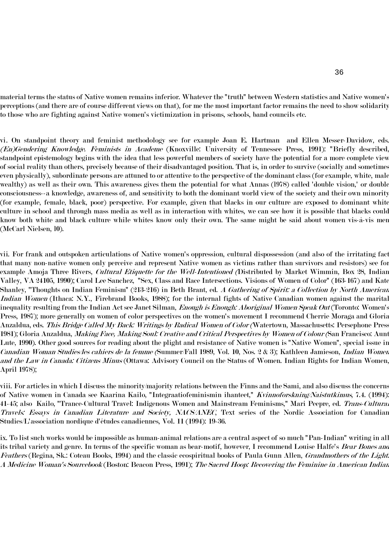material terms the status of Native women remains inferior. Whatever the "truth" between Western statistics and Native women's perceptions (and there are of course different views on that), for me the most important factor remains the need to show solidarity to those who are fighting against Native women's victimization in prisons, schools, band councils etc.

vi. On standpoint theory and feminist methodology see for example Joan E. Hartman and Ellen Messer-Davidow, eds. (En)Gendering Knowledge. Feminists in Academe (Knoxville: University of Tennessee Press, 1991): "Briefly described, standpoint epistemology begins with the idea that less powerful members of society have the potential for a more complete view of social reality than others, precisely because of their disadvantaged position. That is, in order to survive (socially and sometimes even physically), subordinate persons are attuned to or attentive to the perspective of the dominant class (for example, white, male, wealthy) as well as their own. This awareness gives them the potential for what Annas (l978) called 'double vision,' or double consciousness--a knowledge, awareness of, and sensitivity to both the dominant world view of the society and their own minority (for example, female, black, poor) perspective. For example, given that blacks in our culture are exposed to dominant white culture in school and through mass media as well as in interaction with whites, we can see how it is possible that blacks could know both white and black culture while whites know only their own. The same might be said about women vis-à-vis men (McCarl Nielsen, l0).

vii. For frank and outspoken articulations of Native women's oppression, cultural dispossession (and also of the irritating fact that many non-native women only perceive and represent Native women as victims rather than survivors and resistors) see for example Amoja Three Rivers, *Cultural Etiquette for the Well-Intentioned (*Distributed by Market Wimmin, Box 28, Indian Valley, VA 24105, 1990); Carol Lee Sanchez, "Sex, Class and Race Intersections. Visions of Women of Color" (163-167) and Kate Shanley, "Thoughts on Indian Feminism" (213-216) in Beth Brant, ed. *A Gathering of Spirit: a Collection by North American* Indian Women (Ithaca: N.Y., Firebrand Books, 1988); for the internal fights of Native Canadian women against the marital inequality resulting from the Indian Act see Janet Silman, *Enough is Enough: Aboriginal Women Speak Out* (Toronto: Women's Press, 1987); more generally on women of color perspectives on the women's movement I recommend Cherrie Moraga and Gloria Anzaldua, eds. *This Bridge Called My Back: Writings by Radical Women of Color (*Watertown, Massachusetts: Persephone Press 1981); Gloria Anzaldua, *Making Face, Making Soul: Creative and Critical Perspectives by Women of Colour (*San Francisco: Aunt Lute, 1990). Other good sources for reading about the plight and resistance of Native women is "Native Women", special issue in Canadian Woman Studies/les cahiers de la femme (Summer/Fall 1989, Vol. 10, Nos. 2 & 3); Kathleen Jamieson, Indian Women and the Law in Canada: Citizens Minus (Ottawa: Advisory Council on the Status of Women. Indian Rights for Indian Women, April 1978);

viii. For articles in which I discuss the minority/majority relations between the Finns and the Sami, and also discuss the concerns of Native women in Canada see Kaarina Kailo, "Integraatiofeminismin ihanteet," Kvinnoforskning/Naistutkimus, 7.4. (1994): 41-45; also Kailo, "Trance-Cultural Travel: Indigenous Women and Mainstream Feminisms," Mari Peepre, ed. *Trans-Cultura*. Travels: Essays in Canadian Literature and Society, NACS/ANEC, Text series of the Nordic Association for Canadian Studies/L'association nordique d'études canadiennes, Vol. 11 (1994): 19-36.

ix. To list such works would be impossible as human-animal relations are a central aspect of so much "Pan-Indian" writing in all its tribal variety and genre. In terms of the specific woman as bear-motif, however, I recommend Louise Halfe's *Bear Bones and* Feathers (Regina, Sk.: Coteau Books, 1994) and the classic ecospiritual books of Paula Gunn Allen, *Grandmothers of the Light*: A Medicine Woman's Sourcebook (Boston: Beacon Press, 1991); The Sacred Hoop: Recovering the Feminine in American Indian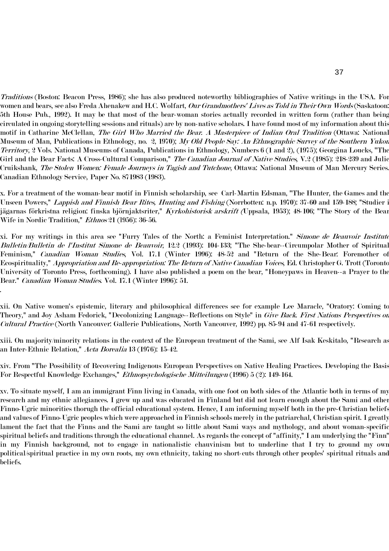Traditions (Boston: Beacon Press, 1986); she has also produced noteworthy bibliographies of Native writings in the USA. For women and bears, see also Freda Ahenakew and H.C. Wolfart, *Our Grandmothers' Lives as Told in Their Own Words* (Saskatoon: 5th House Pub., 1992). It may be that most of the bear-woman stories actually recorded in written form (rather than being circulated in ongoing storytelling sessions and rituals) are by non-native scholars. I have found most of my information about this motif in Catharine McClellan, The Girl Who Married the Bear. A Masterpiece of Indian Oral Tradition (Ottawa: National Museum of Man, Publications in Ethnology, no. 2, 1970); My Old People Say: An Ethnographic Survey of the Southern Yukon Territory, 2 Vols. National Museums of Canada, Publications in Ethnology, Numbers 6 (1 and 2), (1975); Georgina Loucks, "The Girl and the Bear Facts: A Cross-Cultural Comparison," *The Canadian Journal of Native Studies,* V.2 (1985): 218-239 and Julie Cruikshank, The Stolen Women: Female Journeys in Tagish and Tutchone, Ottawa: National Museum of Man Mercury Series. Canadian Ethnology Service, Paper No. 871983 (1983).

x. For a treatment of the woman-bear motif in Finnish scholarship, see Carl-Martin Edsman, "The Hunter, the Games and the Unseen Powers," *Lappish and Finnish Bear Rites, Hunting and Fishing* (Norrbotten: n.p. 1970): 37-60 and 159-188; "Studier i jägarnas förkristna religion: finska björnjaktsriter," *Kyrkohistorisk arskrift (*Uppsala, 1953); 48-106; "The Story of the Bear Wife in Nordic Tradition," *Ethnos* 21 (1956): 36-56.

xi. For my writings in this area see "Furry Tales of the North: a Feminist Interpretation." *Simone de Beauvoir Institute* Bulletin/Bulletin de l'Institut Simone de Beauvoir, 12.2 (1993): 104-133; "The She-bear--Circumpolar Mother of Spiritual Feminism," *Canadian Woman Studies*, Vol. 17.1 (Winter 1996): 48-52 and "Return of the She-Bear: Foremother of Ecospirituality," Appropriation and Re-appropriation: The Return of Native Canadian Voices, Ed. Christopher G. Trott (Toronto University of Toronto Press, forthcoming). I have also published a poem on the bear, "Honeypaws in Heaven--a Prayer to the Bear." *Canadian Woman Studies*. Vol. 17.1 (Winter 1996): 51.

xii. On Native women's epistemic, literary and philosophical differences see for example Lee Maracle, "Oratory: Coming to Theory," and Joy Asham Fedorick, "Decolonizing Language--Reflections on Style" in *Give Back. First Nations Perspectives on* Cultural Practice (North Vancouver: Gallerie Publications, North Vancouver, 1992) pp. 85-94 and 47-61 respectively.

.

xiii. On majority/minority relations in the context of the European treatment of the Sami, see Alf Isak Keskitalo, "Research as an Inter-Ethnic Relation," Acta Borealia 13 (1976): 15-42.

xiv. From "The Possibility of Recovering Indigenous European Perspectives on Native Healing Practices. Developing the Basis For Respectful Knowledge Exchanges," Ethnopsychologische Mitteilungen (1996) 5 (2): 149-164.

xv. To situate myself, I am an immigrant Finn living in Canada, with one foot on both sides of the Atlantic both in terms of my research and my ethnic allegiances. I grew up and was educated in Finland but did not learn enough about the Sami and other Finno-Ugric minorities thorugh the official educational system. Hence, I am informing myself both in the pre-Christian beliefs and values of Finno-Ugric peoples which were approached in Finnish schools merely in the patriarchal, Christian spirit. I greatly lament the fact that the Finns and the Sami are taught so little about Sami ways and mythology, and about woman-specific spiritual beliefs and traditions through the educational channel. As regards the concept of "affinity," I am underlying the "Finn" in my Finnish background, not to engage in nationalistic chauvinism but to underline that I try to ground my own political/spiritual practice in my own roots, my own ethnicity, taking no short-cuts through other peoples' spiritual rituals and beliefs.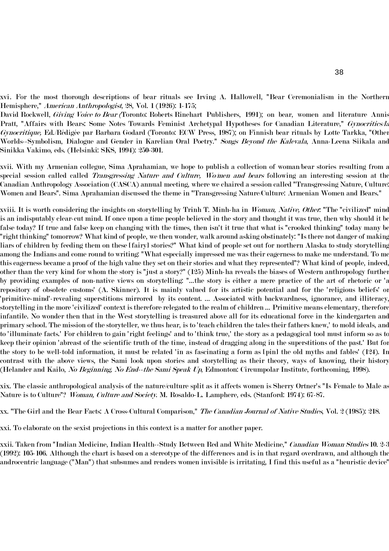xvi. For the most thorough descriptions of bear rituals see Irving A. Hallowell, "Bear Ceremonialism in the Northern Hemisphere," American Anthropologist, 28, Vol. 1 (1926): 1-175;

David Rockwell, *Giving Voice to Bear (*Toronto: Roberts Rinehart Publishers, 1991); on bear, women and literature Annis Pratt, "Affairs with Bears: Some Notes Towards Feminist Archetypal Hypotheses for Canadian Literature," Gynocritics/la Gynocritique, Ed./Rédigée par Barbara Godard (Toronto: ECW Press, 1987); on Finnish bear rituals by Lotte Tarkka, "Other Worlds--Symbolism, Dialogue and Gender in Karelian Oral Poetry." Songs Beyond the Kalevala, Anna-Leena Siikala and Sinikka Vakimo, eds. (Helsinki: SKS, 1994): 250-301.

xvii. With my Armenian collegue, Sima Aprahamian, we hope to publish a collection of woman/bear stories resulting from a special session called called *Transgressing Nature and Culture, Wo/men and bears* following an interesting session at the Canadian Anthropology Association (CASCA) annual meeting, where we chaired a session called "Transgressing Nature, Culture: Women and Bears". Sima Aprahamian discussed the theme in "Transgressing Nature/Culture: Armenian Women and Bears."

xviii. It is worth considering the insights on storytelling by Trinh T. Minh-ha in *Woman, Native, Other*: "The "civilized" mind is an indisputably clear-cut mind. If once upon a time people believed in the story and thought it was true, then why should it be false today? If true and false keep on changing with the times, then isn't it true that what is "crooked thinking" today many be "right thinking" tomorrow? What kind of people, we then wonder, walk around asking obstinately: "Is there not danger of making liars of children by feeding them on these [fairy] stories?" What kind of people set out for northern Alaska to study storytelling among the Indians and come round to writing: "What especially impressed me was their eagerness to make me understand. To me this eagerness became a proof of the high value they set on their stories and what they represented"? What kind of people, indeed, other than the very kind for whom the story is "just a story?" (125) Minh-ha reveals the biases of Western anthropology further by providing examples of non-native views on storytelling: "...the story is either a mere practice of the art of rhetoric or 'a repository of obsolete customs' (A. Skinner). It is mainly valued for its artistic potential and for the 'religious beliefs' or 'primitive-mind'-revealing superstitions mirrored by its content. ... Associated with backwardness, ignorance, and illiteracy, storytelling in the more 'civilized' context is therefore relegated to the realm of children ... Primitive means elementary, therefore infantile. No wonder then that in the West storytelling is treasured above all for its educational force in the kindergarten and primary school. The mission of the storyteller, we thus hear, is to 'teach children the tales their fathers knew,' to mold ideals, and to 'illuminate facts.' For children to gain 'right feelings' and to 'think true,' the story as a pedagogical tool must inform so as to keep their opinion 'abreast of the scientific truth of the time, instead of dragging along in the superstitions of the past.' But for the story to be well-told information, it must be related 'in as fascinating a form as [pin] the old myths and fables' (124). In contrast with the above views, the Sami look upon stories and storytelling as their theory, ways of knowing, their history (Helander and Kailo, No Beginning, No End--the Sami Speak Up, Edmonton: Circumpolar Institute, forthcoming, 1998).

xix. The classic anthropological analysis of the nature/culture split as it affects women is Sherry Ortner's "Is Female to Male as Nature is to Culture"? *Woman, Culture and Society*. M. Rosaldo-L. Lamphere, eds. (Stanford: 1974): 67-87.

xx. "The Girl and the Bear Facts: A Cross-Cultural Comparison," *The Canadian Journal of Native Studies*, Vol. 2 (1985): 218.

xxi. To elaborate on the sexist projections in this context is a matter for another paper.

xxii. Taken from "Indian Medicine, Indian Health--Study Between Red and White Medicine," *Canadian Woman Studies* 10. 2-3 (1992): 105-106. Although the chart is based on a stereotype of the differences and is in that regard overdrawn, and although the androcentric language ("Man") that subsumes and renders women invisible is irritating, I find this useful as a "heuristic device"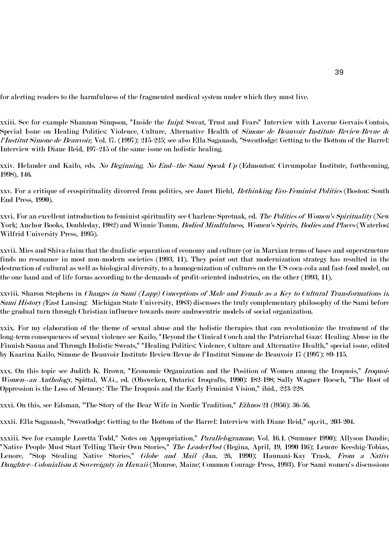for alerting readers to the harmfulness of the fragmented medical system under which they must live.

xxiii. See for example Shannon Simpson, "Inside the *Inipi*: Sweat, Trust and Fears" Interview with Laverne Gervais-Contois, Special Issue on Healing Politics: Violence, Culture, Alternative Health of *Simone de Beauvoir Institute Review/Revue de* l'Institut Simone de Beauvoir, Vol. l7. (1997): 215-225; see also Ella Saganash, "Sweatlodge: Getting to the Bottom of the Barrel: Interview with Diane Reid, 197-215 of the same issue on holistic healing.

xxiv. Helander and Kailo, eds. No Beginning, No End--the Sami Speak Up (Edmonton: Circumpolar Institute, forthcoming, 1998), 146.

xxv. For a critique of ecospirituality divorced from politics, see Janet Biehl, *Rethinking Eco-Feminist Politics* (Boston: South End Press, 1990).

xxvi. For an excellent introduction to feminist spirituality see Charlene Spretnak, ed. *The Politics of Women's Spirituality* (New York; Anchor Books, Doubleday, 1982) and Winnie Tomm, *Bodied Mindfulness, Women's Spirits, Bodies and Places* (Waterloo: Wilfrid University Press, 1995).

xxvii. Mies and Shiva claim that the dualistic separation of economy and culture (or in Marxian terms of bases and superstructure) finds no resonance in most non-modern societies (1993, 11). They point out that modernization strategy has resulted in the destruction of cultural as well as biological diversity, to a homogenization of cultures on the US coca-cola and fast-food model, on the one hand and of life forms according to the demands of profit-oriented industries, on the other (1993, 11).

xxviii. Sharon Stephens in Changes in Sami (Lapp) Conceptions of Male and Female as a Key to Cultural Transformations in Sami History (East Lansing: Michigan State University, 1983) discusses the truly complementary philosophy of the Sami before the gradual turn through Christian influence towards more androcentric models of social organization.

xxix. For my elaboration of the theme of sexual abuse and the holistic therapies that can revolutionize the treatment of the long-term consequences of sexual violence see Kailo, "Beyond the Clinical Couch and the Patriarchal Gaze: Healing Abuse in the Finnish Sauna and Through Holistic Sweats," "Healing Politics: Violence, Culture and Alternative Health," special issue, edited by Kaarina Kailo, Simone de Beauvoir Institute Review/Revue de l'Institut Simone de Beauvoir 17 (1997): 89-115.

xxx. On this topic see Judith K. Brown, "Economic Organization and the Position of Women among the Iroquois," *Iroquois* Women--an Anthology, Spittal, W.G., ed. (Ohsweken, Ontario: Iroqrafts, 1990): 182-198; Sally Wagner Roesch, "The Root of Oppression is the Loss of Memory: The The Iroquois and the Early Feminist Vision," ibid., 223-228.

xxxi. On this, see Edsman, "The Story of the Bear Wife in Nordic Tradition," Ethnos 21 (l956): 36-56.

xxxii. Ella Saganash, "Sweatlodge: Getting to the Bottom of the Barrel: Interview with Diane Reid," op.cit., 203-204.

xxxiii. See for example Loretta Todd," Notes on Appropriation," *Parallelogramme*, Vol. 16.1. (Summer 1990); Allyson Dandie, "Native People Must Start Telling Their Own Stories," *The LeaderPost* (Regina, April, 19, 1990 B6); Lenore Keeshig-Tobias, Lenore, "Stop Stealing Native Stories," *Globe and Mail (Jan. 26, 1990); Haunani-Kay Trask, From a Native* Daughter--Colonialism & Sovereignty in Hawaii (Monroe, Maine; Common Courage Press, 1993). For Sami women's discussions